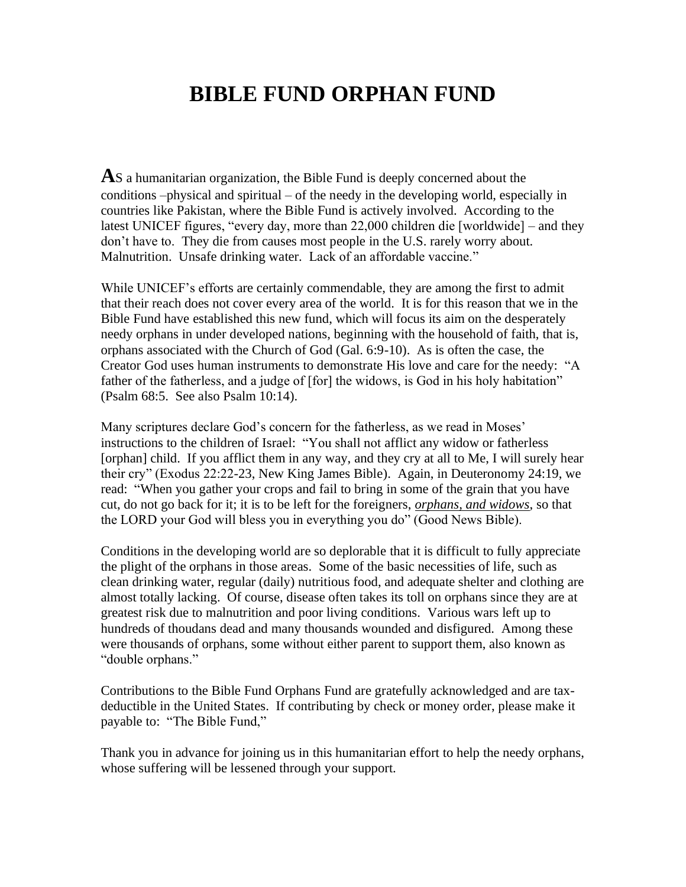## **BIBLE FUND ORPHAN FUND**

**A**S a humanitarian organization, the Bible Fund is deeply concerned about the conditions –physical and spiritual – of the needy in the developing world, especially in countries like Pakistan, where the Bible Fund is actively involved. According to the latest UNICEF figures, "every day, more than 22,000 children die [worldwide] – and they don't have to. They die from causes most people in the U.S. rarely worry about. Malnutrition. Unsafe drinking water. Lack of an affordable vaccine."

While UNICEF's efforts are certainly commendable, they are among the first to admit that their reach does not cover every area of the world. It is for this reason that we in the Bible Fund have established this new fund, which will focus its aim on the desperately needy orphans in under developed nations, beginning with the household of faith, that is, orphans associated with the Church of God (Gal. 6:9-10). As is often the case, the Creator God uses human instruments to demonstrate His love and care for the needy: "A father of the fatherless, and a judge of [for] the widows, is God in his holy habitation" (Psalm 68:5. See also Psalm 10:14).

Many scriptures declare God's concern for the fatherless, as we read in Moses' instructions to the children of Israel: "You shall not afflict any widow or fatherless [orphan] child. If you afflict them in any way, and they cry at all to Me, I will surely hear their cry" (Exodus 22:22-23, New King James Bible). Again, in Deuteronomy 24:19, we read: "When you gather your crops and fail to bring in some of the grain that you have cut, do not go back for it; it is to be left for the foreigners, *orphans, and widows*, so that the LORD your God will bless you in everything you do" (Good News Bible).

Conditions in the developing world are so deplorable that it is difficult to fully appreciate the plight of the orphans in those areas. Some of the basic necessities of life, such as clean drinking water, regular (daily) nutritious food, and adequate shelter and clothing are almost totally lacking. Of course, disease often takes its toll on orphans since they are at greatest risk due to malnutrition and poor living conditions. Various wars left up to hundreds of thoudans dead and many thousands wounded and disfigured. Among these were thousands of orphans, some without either parent to support them, also known as "double orphans."

Contributions to the Bible Fund Orphans Fund are gratefully acknowledged and are taxdeductible in the United States. If contributing by check or money order, please make it payable to: "The Bible Fund,"

Thank you in advance for joining us in this humanitarian effort to help the needy orphans, whose suffering will be lessened through your support.